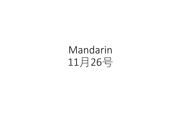Mandarin 11月26号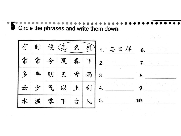Circle the phrases and write them down.

| 有 | 时 |   | 候怎           | 么 | 彬 | 1. 怎么样<br>6. |
|---|---|---|--------------|---|---|--------------|
| 常 | 常 | 今 | 夏            | 春 |   | $F _{2}$     |
| 多 | 年 | 明 | 天            | 雪 | 雨 | 3.<br>8.     |
| 云 |   | 气 | 以            |   | 刮 | 9            |
|   | 温 | 零 | $\mathbf{r}$ | 台 | 风 | 5.<br>10.    |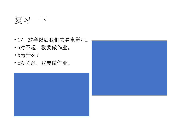

- 17 放学以后我们去看电影吧。
- a对不起,我要做作业。
- b为什么?
- c没关系,我要做作业。



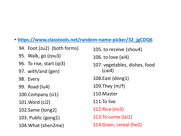• **[https://www.classtools.net/random-name-picker/32\\_jgCDQ6](https://www.classtools.net/random-name-picker/32_jgCDQ6)** 94. Foot (zu2) (both forms) 95. Walk, go (zou3) 96. To rise, start (qi3) 97. with/and (gen) 98. Every 99. Road (lu4) 100.Company (si1) 101.Word (ci2) 102.Same (tong2) 103. Public (gong1) 104.What (shen2me) 105. to receive (shou4) 106. to love (ai4) 107. vegetables, dishes, food (cai4) 108.East (dong1) 109.They (m/f) 110.Master 111.To live 112.Rice (mi3) 113.To come (lai2) 114.Grain, cereal (he2)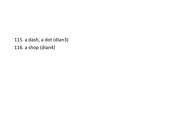115. a dash, a dot (dian3) 116. a shop (dian4)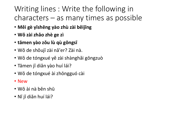## Writing lines : Write the following in  $charcters - as many times as possible$

- **Měi gè yīshēng yào zhù zài běijīng**
- **Wǒ zài zhǎo zhè ge zì**
- **tāmen yào zǒu lù qù gōngsī**
- Wǒ de shǒujī zài nǎ'er? Zài nà.
- Wǒ de tóngxué yě zài shànghǎi gōngzuò
- Tāmen jǐ diǎn yào huí lái?
- Wǒ de tóngxué ài zhōngguó cài
- New
- Wǒ ài nà běn shū
- Nǐ jǐ diǎn huí lái?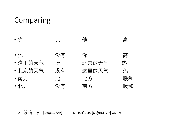## Comparing

| • 你     | EŁ, | 他.    | 高  |
|---------|-----|-------|----|
| • 他     | 没有  | 你     | 高  |
| • 这里的天气 | FF. | 北京的天气 | 热  |
| • 北京的天气 | 没有  | 这里的天气 | 热  |
| • 南方    | EŁ. | 北方    | 暖和 |
| • 北方    | 没有  | 南方    | 暖和 |

X 没有 y [*adjective*] = x isn't as [*adjective*] as y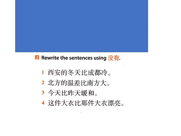## 2 Rewrite the sentences using 没有.

- 西安的冬天比成都冷。 1
- 2 北方的温差比南方大。
- 3 今天比昨天暖和。
- 4 这件大衣比那件大衣漂亮。